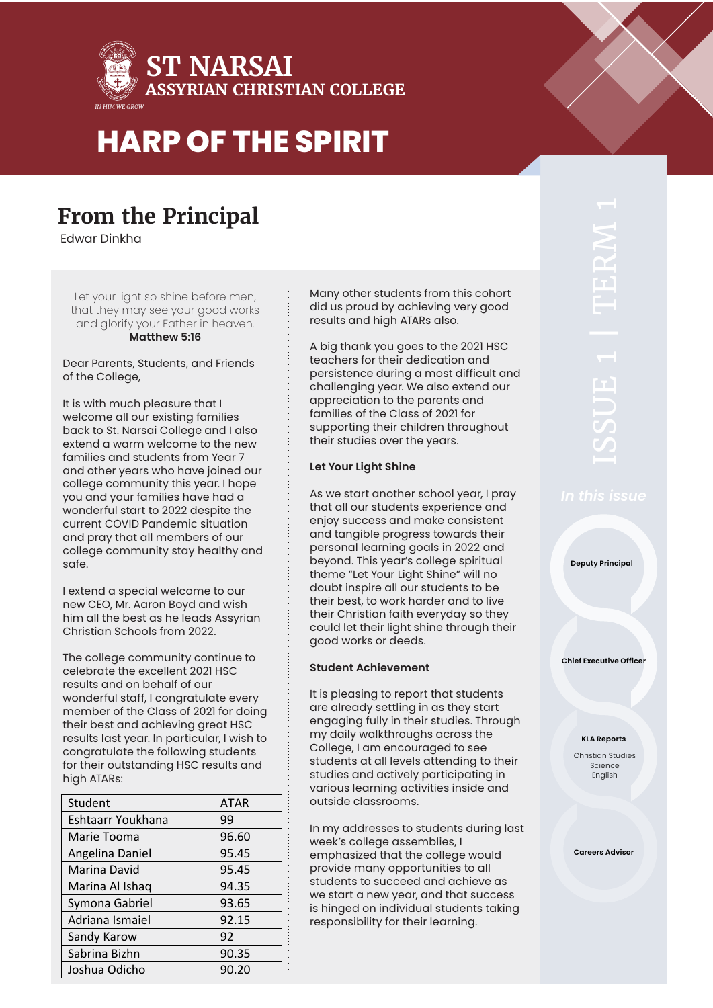

### **From the Principal**

Edwar Dinkha

Let your light so shine before men, that they may see your good works and glorify your Father in heaven. **Matthew 5:16** 

Dear Parents, Students, and Friends of the College,

It is with much pleasure that I welcome all our existing families back to St. Narsai College and I also extend a warm welcome to the new families and students from Year 7 and other years who have joined our college community this year. I hope you and your families have had a wonderful start to 2022 despite the current COVID Pandemic situation and pray that all members of our college community stay healthy and safe.

I extend a special welcome to our new CEO, Mr. Aaron Boyd and wish him all the best as he leads Assyrian Christian Schools from 2022.

The college community continue to celebrate the excellent 2021 HSC results and on behalf of our wonderful staff, I congratulate every member of the Class of 2021 for doing their best and achieving great HSC results last year. In particular, I wish to congratulate the following students for their outstanding HSC results and high ATARs:

| Student           | <b>ATAR</b> |
|-------------------|-------------|
| Eshtaarr Youkhana | 99          |
| Marie Tooma       | 96.60       |
| Angelina Daniel   | 95.45       |
| Marina David      | 95.45       |
| Marina Al Ishaq   | 94.35       |
| Symona Gabriel    | 93.65       |
| Adriana Ismaiel   | 92.15       |
| Sandy Karow       | 92          |
| Sabrina Bizhn     | 90.35       |
| Joshua Odicho     | 90.20       |

Many other students from this cohort did us proud by achieving very good results and high ATARs also.

A big thank you goes to the 2021 HSC teachers for their dedication and persistence during a most difficult and challenging year. We also extend our appreciation to the parents and families of the Class of 2021 for supporting their children throughout their studies over the years.

#### **Let Your Light Shine**

As we start another school year, I pray that all our students experience and enjoy success and make consistent and tangible progress towards their personal learning goals in 2022 and beyond. This year's college spiritual theme "Let Your Light Shine" will no doubt inspire all our students to be their best, to work harder and to live their Christian faith everyday so they could let their light shine through their good works or deeds.

#### **Student Achievement**

It is pleasing to report that students are already settling in as they start engaging fully in their studies. Through my daily walkthroughs across the College, I am encouraged to see students at all levels attending to their studies and actively participating in various learning activities inside and outside classrooms.

In my addresses to students during last week's college assemblies, I emphasized that the college would provide many opportunities to all students to succeed and achieve as we start a new year, and that success is hinged on individual students taking responsibility for their learning.

**Deputy Principal**

**Chief Executive Officer**

#### **KLA Reports**

Christian Studies Science English

**Careers Advisor**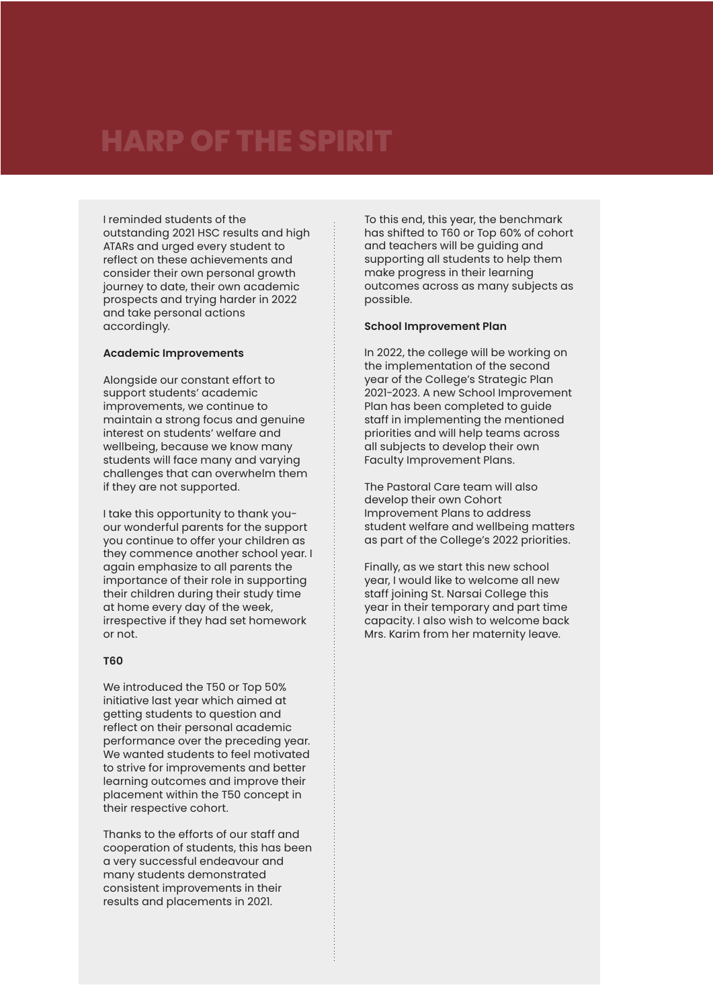I reminded students of the outstanding 2021 HSC results and high ATARs and urged every student to reflect on these achievements and consider their own personal growth journey to date, their own academic prospects and trying harder in 2022 and take personal actions accordingly.

#### **Academic Improvements**

Alongside our constant effort to support students' academic improvements, we continue to maintain a strong focus and genuine interest on students' welfare and wellbeing, because we know many students will face many and varying challenges that can overwhelm them if they are not supported.

I take this opportunity to thank youour wonderful parents for the support you continue to offer your children as they commence another school year. I again emphasize to all parents the importance of their role in supporting their children during their study time at home every day of the week, irrespective if they had set homework or not.

#### **T60**

We introduced the T50 or Top 50% initiative last year which aimed at getting students to question and reflect on their personal academic performance over the preceding year. We wanted students to feel motivated to strive for improvements and better learning outcomes and improve their placement within the T50 concept in their respective cohort.

Thanks to the efforts of our staff and cooperation of students, this has been a very successful endeavour and many students demonstrated consistent improvements in their results and placements in 2021.

To this end, this year, the benchmark has shifted to T60 or Top 60% of cohort and teachers will be guiding and supporting all students to help them make progress in their learning outcomes across as many subjects as possible.

#### **School Improvement Plan**

In 2022, the college will be working on the implementation of the second year of the College's Strategic Plan 2021-2023. A new School Improvement Plan has been completed to guide staff in implementing the mentioned priorities and will help teams across all subjects to develop their own Faculty Improvement Plans.

The Pastoral Care team will also develop their own Cohort Improvement Plans to address student welfare and wellbeing matters as part of the College's 2022 priorities.

Finally, as we start this new school year, I would like to welcome all new staff joining St. Narsai College this year in their temporary and part time capacity. I also wish to welcome back Mrs. Karim from her maternity leave.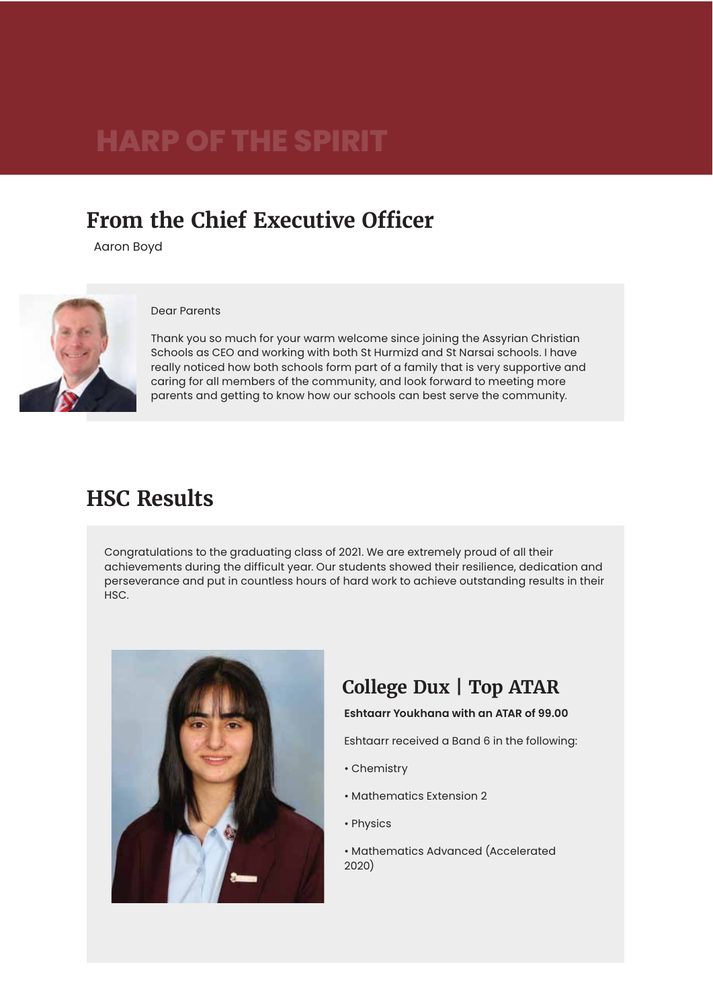### **From the Chief Executive Officer**

Aaron Boyd



#### Dear Parents

Thank you so much for your warm welcome since joining the Assyrian Christian Schools as CEO and working with both St Hurmizd and St Narsai schools. I have really noticed how both schools form part of a family that is very supportive and caring for all members of the community, and look forward to meeting more parents and getting to know how our schools can best serve the community.

### **HSC Results**

Congratulations to the graduating class of 2021. We are extremely proud of all their achievements during the difficult year. Our students showed their resilience, dedication and perseverance and put in countless hours of hard work to achieve outstanding results in their HSC.



### **College Dux | Top ATAR**

#### **Eshtaarr Youkhana with an ATAR of 99.00**

Eshtaarr received a Band 6 in the following:

- Chemistry
- Mathematics Extension 2
- Physics
- Mathematics Advanced (Accelerated 2020)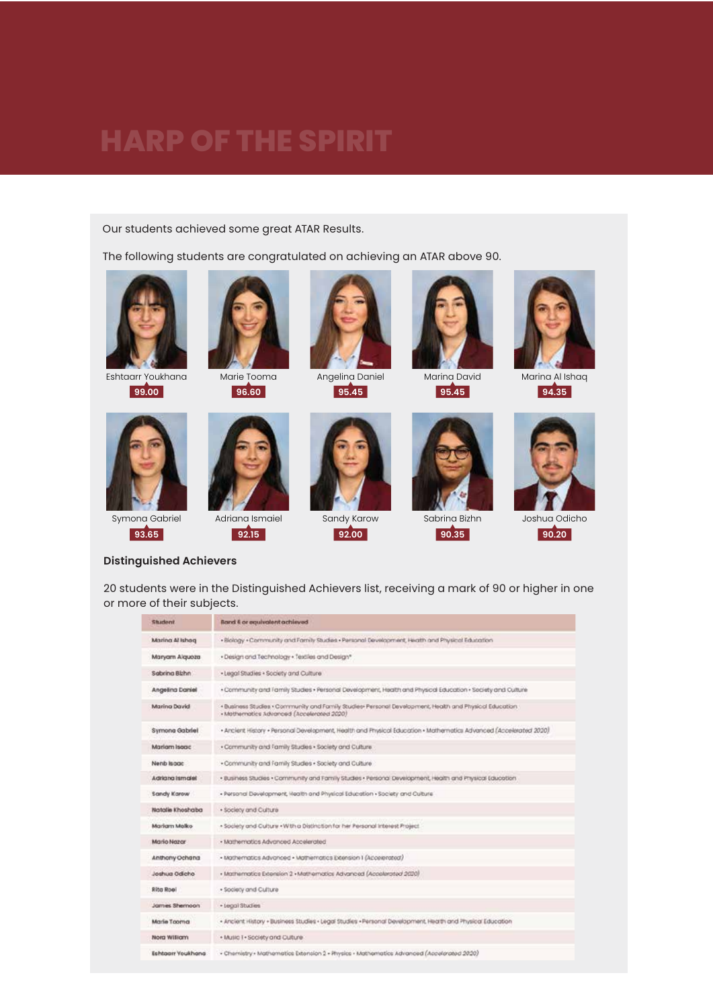Our students achieved some great ATAR Results.

The following students are congratulated on achieving an ATAR above 90.



Eshtaarr Youkhana **99.00**



Symona Gabriel **93.65**







Angelina Daniel **95.45**



Sandy Karow **92.00**



Marina David **95.45**

Sabrina Bizhn **90.35**



Marina Al Ishaq **94.35**



Joshua Odicho **90.20**

#### **Distinguished Achievers**

20 students were in the Distinguished Achievers list, receiving a mark of 90 or higher in one or more of their subjects.

| <b>Shuderd</b>    | Band & or equivalent achieved                                                                                                                       |  |
|-------------------|-----------------------------------------------------------------------------------------------------------------------------------------------------|--|
| Marina Al Ishoq   | . Biology . Community and Fornily Studies . Personal Development, Heath and Physical Education                                                      |  |
| Maryam Alqueza    | . Design and Technology . Textiles and Design*                                                                                                      |  |
| Sabring Bithn     | . Legal Studies . Society and Culture                                                                                                               |  |
| Angeling Daniel   | - Community and Family Studies - Personal Development, Health and Physical Education - Seciety and Culture                                          |  |
| Marina David      | . Business Studies . Community and Family Studies. Personal Development, Health and Physical Education<br>· Mathematics Advanced (Accelerated 2020) |  |
| Symong Gabriel    | + Ancient History + Personal Development, Health and Physical Education + Mathematics Advanced (Accelerated 2020)                                   |  |
| Mariam Isaac      | . Community and Family Studies . Society and Culture.                                                                                               |  |
| Nenb Isage        | . Community and Family Studies . Society and Culture.                                                                                               |  |
| Adriana ismalel   | . Business Studies . Community and Family Studies . Personal Development, Health and Physical Education                                             |  |
| Sandy Karow       | - Personal Development, Health and Physical Education - Society and Culture                                                                         |  |
| Natalie Khoshaba  | · Society and Culture                                                                                                                               |  |
| Mariam Malko      | - Society and Culture - With a Distinction for her Personal Interest Project.                                                                       |  |
| Mario Nazar       | · Mathematics Advanced Accelerated                                                                                                                  |  |
| Anthony Ochana    | - Mathematics Advanced - Mathematics Extension I (Accelerated)                                                                                      |  |
| Joshua Odicho     | · Mathematics Extension 2 · Methematics Advanced (Accelerated 2020)                                                                                 |  |
| <b>Rito Roal</b>  | . Society and Culture                                                                                                                               |  |
| James Shernoon    | · tegal Studies                                                                                                                                     |  |
| Marie Tooma       | - Ancient History - Business Studies - Legal Studies - Personal Development, Health and Physical Education                                          |  |
| Norg William      | + Music 1 . Scolety and Culture                                                                                                                     |  |
| Eshtgarr Youkhang | - Chemistry - Mathematics Exension 2 - Physics - Mathematics Advanced (Accelerated 2020)                                                            |  |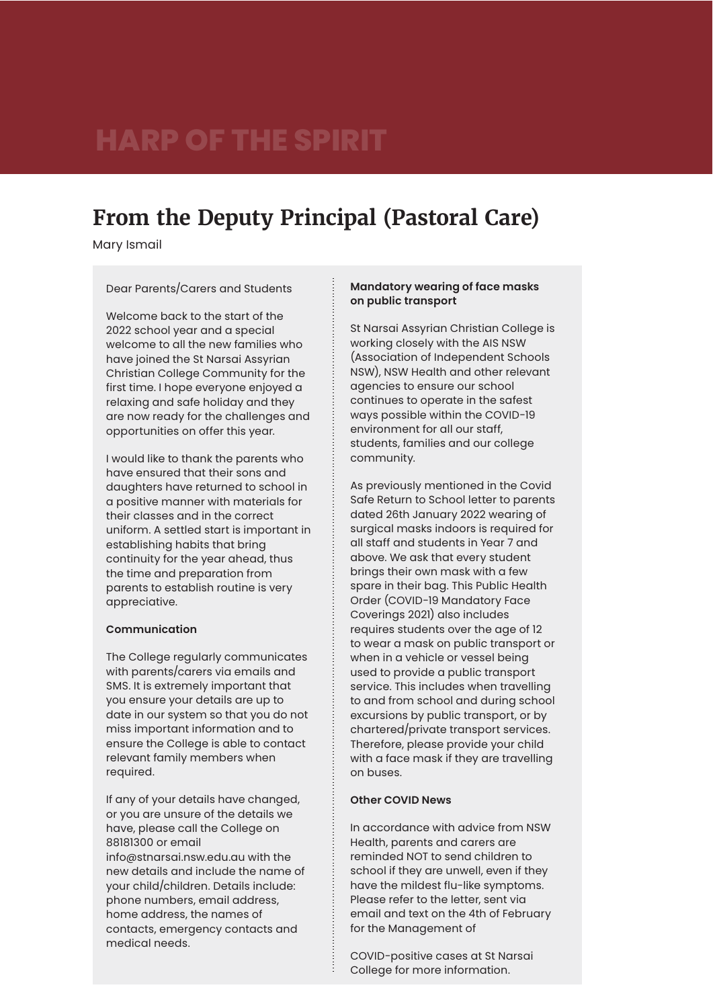### **From the Deputy Principal (Pastoral Care)**

Mary Ismail

Dear Parents/Carers and Students

Welcome back to the start of the 2022 school year and a special welcome to all the new families who have joined the St Narsai Assyrian Christian College Community for the first time. I hope everyone enjoyed a relaxing and safe holiday and they are now ready for the challenges and opportunities on offer this year.

I would like to thank the parents who have ensured that their sons and daughters have returned to school in a positive manner with materials for their classes and in the correct uniform. A settled start is important in establishing habits that bring continuity for the year ahead, thus the time and preparation from parents to establish routine is very appreciative.

#### **Communication**

The College regularly communicates with parents/carers via emails and SMS. It is extremely important that you ensure your details are up to date in our system so that you do not miss important information and to ensure the College is able to contact relevant family members when required.

If any of your details have changed, or you are unsure of the details we have, please call the College on 88181300 or email info@stnarsai.nsw.edu.au with the new details and include the name of your child/children. Details include: phone numbers, email address, home address, the names of contacts, emergency contacts and medical needs.

#### **Mandatory wearing of face masks on public transport**

St Narsai Assyrian Christian College is working closely with the AIS NSW (Association of Independent Schools NSW), NSW Health and other relevant agencies to ensure our school continues to operate in the safest ways possible within the COVID-19 environment for all our staff, students, families and our college community.

As previously mentioned in the Covid Safe Return to School letter to parents dated 26th January 2022 wearing of surgical masks indoors is required for all staff and students in Year 7 and above. We ask that every student brings their own mask with a few spare in their bag. This Public Health Order (COVID-19 Mandatory Face Coverings 2021) also includes requires students over the age of 12 to wear a mask on public transport or when in a vehicle or vessel being used to provide a public transport service. This includes when travelling to and from school and during school excursions by public transport, or by chartered/private transport services. Therefore, please provide your child with a face mask if they are travelling on buses.

#### **Other COVID News**

In accordance with advice from NSW Health, parents and carers are reminded NOT to send children to school if they are unwell, even if they have the mildest flu-like symptoms. Please refer to the letter, sent via email and text on the 4th of February for the Management of

COVID-positive cases at St Narsai College for more information.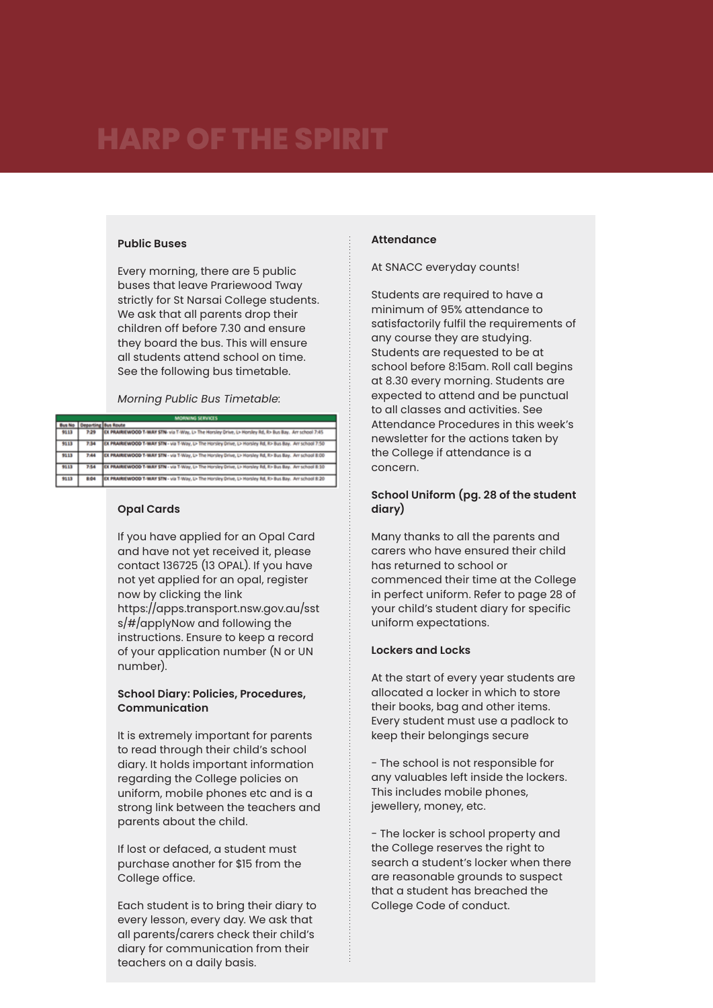#### **Public Buses**

Every morning, there are 5 public buses that leave Prariewood Tway strictly for St Narsai College students. We ask that all parents drop their children off before 7.30 and ensure they board the bus. This will ensure all students attend school on time. See the following bus timetable.

*Morning Public Bus Timetable:*

| <b>MINIMUMS MAYBE</b> |                            |                                                                                                           |
|-----------------------|----------------------------|-----------------------------------------------------------------------------------------------------------|
|                       | <b>Oeparting Bus Route</b> |                                                                                                           |
| 9113                  | 7:29                       | EX PRAIRIEWOOD T-WAY STN- via T-Way, L> The Horsley Drive, L> Horsley Rd, R> Bus Bay. Arr school 7:45     |
| 9113                  | 7.34                       | EX PRAIRIEWOOD T-WAY STN - via T-Way, L> The Horsley Drive, L> Horsley Rd, R> Bus Bay, Art school 7:50    |
| 9113                  | 7:44                       | EX PRAIRIEWOOD T-WAY STN - via T-Way, L> The Horsley Drive, L> Horsley Rd, R> Bus Bay. Art school B:00    |
| 9113                  | 7:54                       | EX PRAIRIEWOOD T-WAY STN - via T-Way, L> The Horsley Drive, L> Horsley Rd, R> Bus Bay. Arr school 8:10    |
| 9113                  | 8:04                       | EX PRAIRIEWOOD T-WAY STN - via T-Way, Li- The Horsley Drive, Li- Horsley Rd, Ri- Bus Bay. Arr school 8:20 |

#### **Opal Cards**

If you have applied for an Opal Card and have not yet received it, please contact 136725 (13 OPAL). If you have not yet applied for an opal, register now by clicking the link https://apps.transport.nsw.gov.au/sst s/#/applyNow and following the instructions. Ensure to keep a record of your application number (N or UN number).

#### **School Diary: Policies, Procedures, Communication**

It is extremely important for parents to read through their child's school diary. It holds important information regarding the College policies on uniform, mobile phones etc and is a strong link between the teachers and parents about the child.

If lost or defaced, a student must purchase another for \$15 from the College office.

Each student is to bring their diary to every lesson, every day. We ask that all parents/carers check their child's diary for communication from their teachers on a daily basis.

#### **Attendance**

At SNACC everyday counts!

Students are required to have a minimum of 95% attendance to satisfactorily fulfil the requirements of any course they are studying. Students are requested to be at school before 8:15am. Roll call begins at 8.30 every morning. Students are expected to attend and be punctual to all classes and activities. See Attendance Procedures in this week's newsletter for the actions taken by the College if attendance is a concern.

#### **School Uniform (pg. 28 of the student diary)**

Many thanks to all the parents and carers who have ensured their child has returned to school or commenced their time at the College in perfect uniform. Refer to page 28 of your child's student diary for specific uniform expectations.

#### **Lockers and Locks**

At the start of every year students are allocated a locker in which to store their books, bag and other items. Every student must use a padlock to keep their belongings secure

- The school is not responsible for any valuables left inside the lockers. This includes mobile phones, jewellery, money, etc.

- The locker is school property and the College reserves the right to search a student's locker when there are reasonable grounds to suspect that a student has breached the College Code of conduct.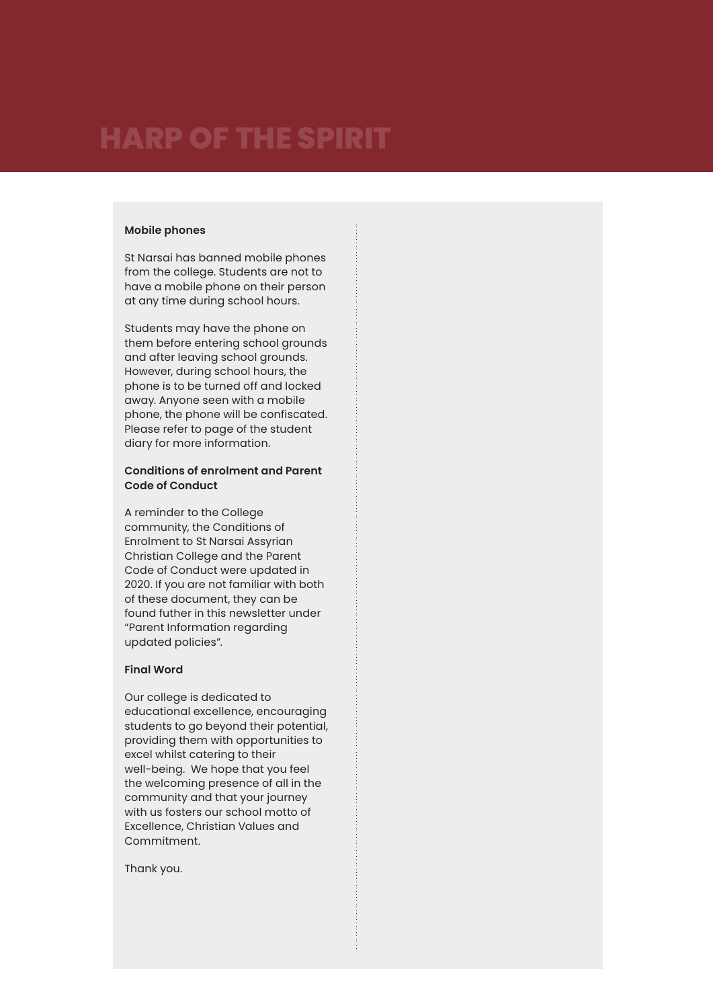#### **Mobile phones**

St Narsai has banned mobile phones from the college. Students are not to have a mobile phone on their person at any time during school hours.

Students may have the phone on them before entering school grounds and after leaving school grounds. However, during school hours, the phone is to be turned off and locked away. Anyone seen with a mobile phone, the phone will be confiscated. Please refer to page of the student diary for more information.

#### **Conditions of enrolment and Parent Code of Conduct**

A reminder to the College community, the Conditions of Enrolment to St Narsai Assyrian Christian College and the Parent Code of Conduct were updated in 2020. If you are not familiar with both of these document, they can be found futher in this newsletter under "Parent Information regarding updated policies".

#### **Final Word**

Our college is dedicated to educational excellence, encouraging students to go beyond their potential, providing them with opportunities to excel whilst catering to their well-being. We hope that you feel the welcoming presence of all in the community and that your journey with us fosters our school motto of Excellence, Christian Values and Commitment.

Thank you.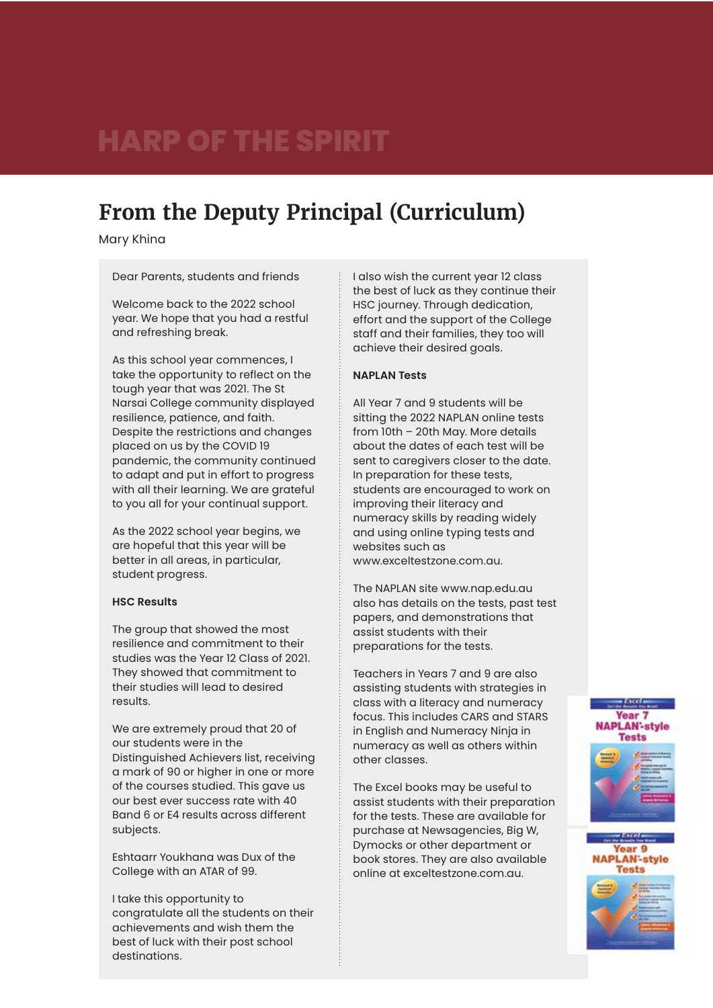### **From the Deputy Principal (Curriculum)**

Mary Khina

Dear Parents, students and friends

Welcome back to the 2022 school year. We hope that you had a restful and refreshing break.

As this school year commences, I take the opportunity to reflect on the tough year that was 2021. The St Narsai College community displayed resilience, patience, and faith. Despite the restrictions and changes placed on us by the COVID 19 pandemic, the community continued to adapt and put in effort to progress with all their learning. We are grateful to you all for your continual support.

As the 2022 school year begins, we are hopeful that this year will be better in all areas, in particular, student progress.

#### **HSC Results**

The group that showed the most resilience and commitment to their studies was the Year 12 Class of 2021. They showed that commitment to their studies will lead to desired results.

We are extremely proud that 20 of our students were in the Distinguished Achievers list, receiving a mark of 90 or higher in one or more of the courses studied. This gave us our best ever success rate with 40 Band 6 or E4 results across different subjects.

Eshtaarr Youkhana was Dux of the College with an ATAR of 99.

I take this opportunity to congratulate all the students on their achievements and wish them the best of luck with their post school destinations.

I also wish the current year 12 class the best of luck as they continue their HSC journey. Through dedication, effort and the support of the College staff and their families, they too will achieve their desired goals.

#### **NAPLAN Tests**

All Year 7 and 9 students will be sitting the 2022 NAPLAN online tests from 10th – 20th May. More details about the dates of each test will be sent to caregivers closer to the date. In preparation for these tests, students are encouraged to work on improving their literacy and numeracy skills by reading widely and using online typing tests and websites such as www.exceltestzone.com.au.

The NAPLAN site www.nap.edu.au also has details on the tests, past test papers, and demonstrations that assist students with their preparations for the tests.

Teachers in Years 7 and 9 are also assisting students with strategies in class with a literacy and numeracy focus. This includes CARS and STARS in English and Numeracy Ninja in numeracy as well as others within other classes.

The Excel books may be useful to assist students with their preparation for the tests. These are available for purchase at Newsagencies, Big W, Dymocks or other department or book stores. They are also available online at exceltestzone.com.au.



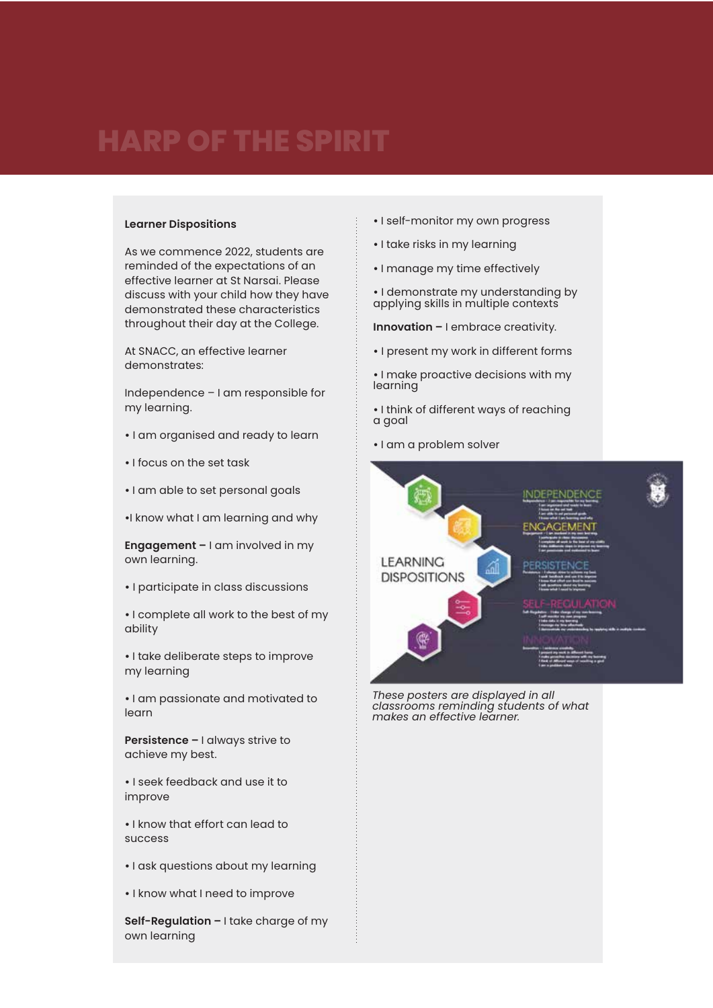#### **Learner Dispositions**

As we commence 2022, students are reminded of the expectations of an effective learner at St Narsai. Please discuss with your child how they have demonstrated these characteristics throughout their day at the College.

At SNACC, an effective learner demonstrates:

Independence – I am responsible for my learning.

- **•** I am organised and ready to learn
- I focus on the set task
- I am able to set personal goals

**•**I know what I am learning and why

**Engagement –** I am involved in my own learning.

**•** I participate in class discussions

**•** I complete all work to the best of my ability

**•** I take deliberate steps to improve my learning

**•** I am passionate and motivated to learn

**Persistence –** I always strive to achieve my best.

**•** I seek feedback and use it to improve

**•** I know that effort can lead to success

- I ask questions about my learning
- **•** I know what I need to improve

**Self-Regulation –** I take charge of my own learning

- I self-monitor my own progress
- I take risks in my learning
- I manage my time effectively
- **•** I demonstrate my understanding by applying skills in multiple contexts

**Innovation –** I embrace creativity.

- **•** I present my work in different forms
- I make proactive decisions with my learning

**•** I think of different ways of reaching a goal

**•** I am a problem solver



*classrooms reminding students of what makes an effective learner.*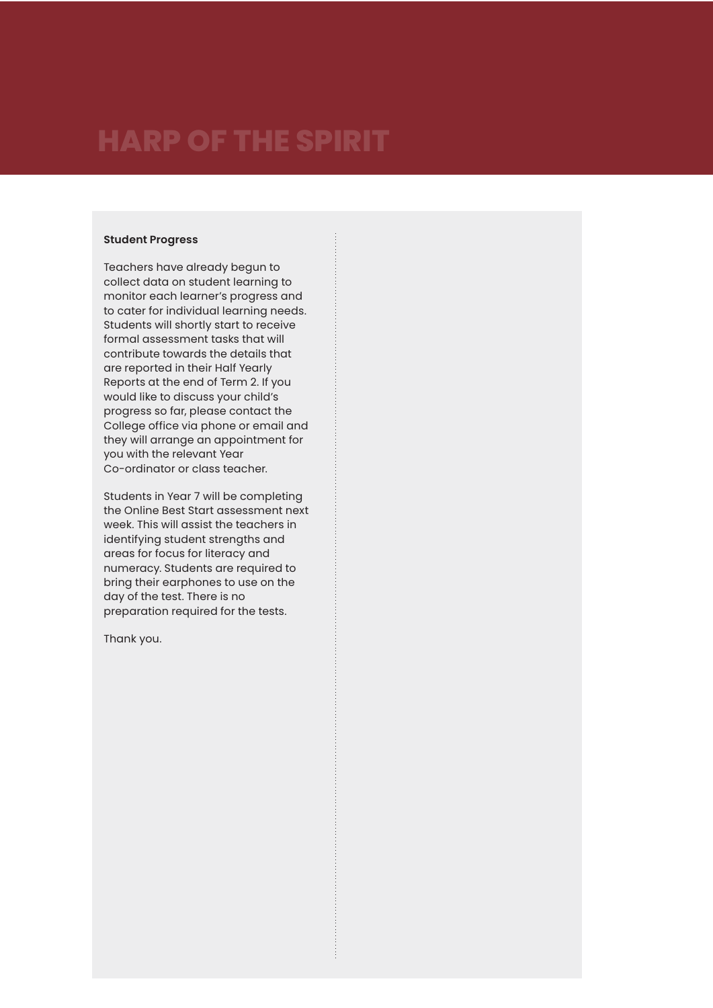#### **Student Progress**

Teachers have already begun to collect data on student learning to monitor each learner's progress and to cater for individual learning needs. Students will shortly start to receive formal assessment tasks that will contribute towards the details that are reported in their Half Yearly Reports at the end of Term 2. If you would like to discuss your child's progress so far, please contact the College office via phone or email and they will arrange an appointment for you with the relevant Year Co-ordinator or class teacher.

Students in Year 7 will be completing the Online Best Start assessment next week. This will assist the teachers in identifying student strengths and areas for focus for literacy and numeracy. Students are required to bring their earphones to use on the day of the test. There is no preparation required for the tests.

Thank you.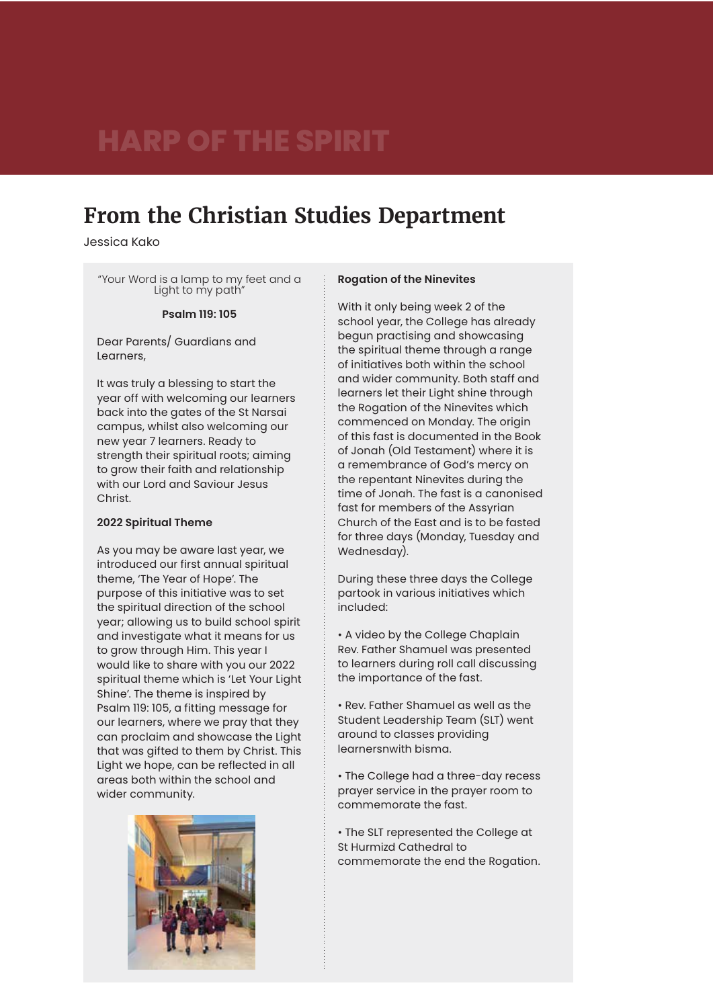### **From the Christian Studies Department**

Jessica Kako

"Your Word is a lamp to my feet and a Light to my path"

#### **Psalm 119: 105**

Dear Parents/ Guardians and Learners,

It was truly a blessing to start the year off with welcoming our learners back into the gates of the St Narsai campus, whilst also welcoming our new year 7 learners. Ready to strength their spiritual roots; aiming to grow their faith and relationship with our Lord and Saviour Jesus Christ.

#### **2022 Spiritual Theme**

As you may be aware last year, we introduced our first annual spiritual theme, 'The Year of Hope'. The purpose of this initiative was to set the spiritual direction of the school year; allowing us to build school spirit and investigate what it means for us to grow through Him. This year I would like to share with you our 2022 spiritual theme which is 'Let Your Light Shine'. The theme is inspired by Psalm 119: 105, a fitting message for our learners, where we pray that they can proclaim and showcase the Light that was gifted to them by Christ. This Light we hope, can be reflected in all areas both within the school and wider community.



#### **Rogation of the Ninevites**

With it only being week 2 of the school year, the College has already begun practising and showcasing the spiritual theme through a range of initiatives both within the school and wider community. Both staff and learners let their Light shine through the Rogation of the Ninevites which commenced on Monday. The origin of this fast is documented in the Book of Jonah (Old Testament) where it is a remembrance of God's mercy on the repentant Ninevites during the time of Jonah. The fast is a canonised fast for members of the Assyrian Church of the East and is to be fasted for three days (Monday, Tuesday and Wednesday).

During these three days the College partook in various initiatives which included:

• A video by the College Chaplain Rev. Father Shamuel was presented to learners during roll call discussing the importance of the fast.

• Rev. Father Shamuel as well as the Student Leadership Team (SLT) went around to classes providing learnersnwith bisma.

• The College had a three-day recess prayer service in the prayer room to commemorate the fast.

• The SLT represented the College at St Hurmizd Cathedral to commemorate the end the Rogation.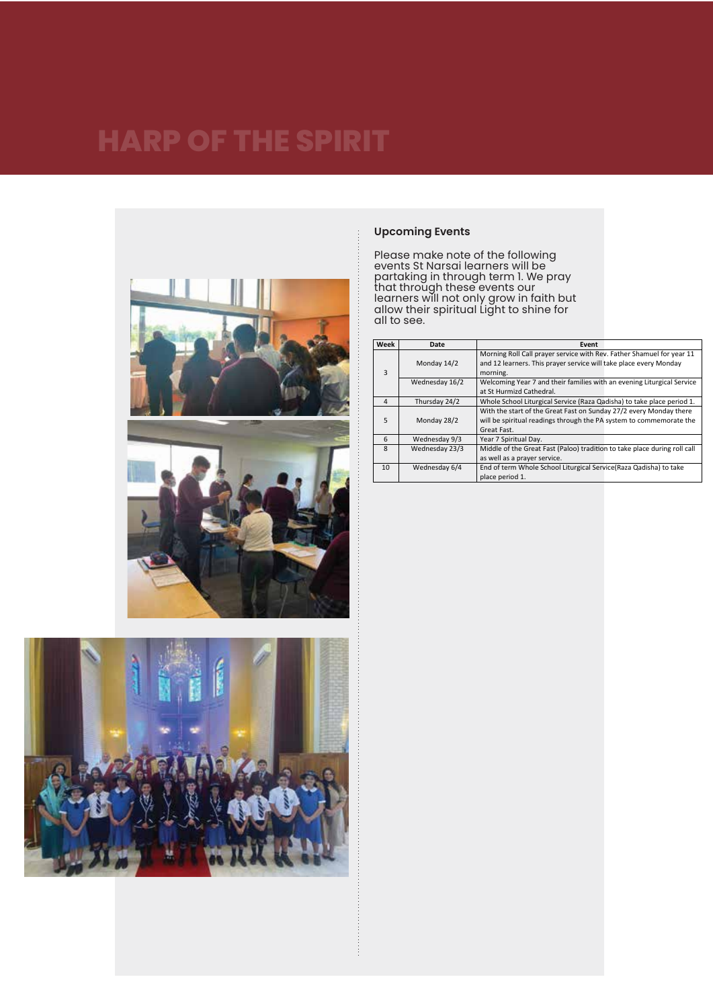





#### **Upcoming Events**

Please make note of the following events St Narsai learners will be partaking in through term 1. We pray that through these events our learners will not only grow in faith but allow their spiritual Light to shine for all to see.

| Week           | Date           | Event                                                                     |
|----------------|----------------|---------------------------------------------------------------------------|
|                |                | Morning Roll Call prayer service with Rev. Father Shamuel for year 11     |
|                | Monday 14/2    | and 12 learners. This prayer service will take place every Monday         |
| 3              |                | morning.                                                                  |
|                | Wednesday 16/2 | Welcoming Year 7 and their families with an evening Liturgical Service    |
|                |                | at St Hurmizd Cathedral.                                                  |
| $\overline{4}$ | Thursday 24/2  | Whole School Liturgical Service (Raza Qadisha) to take place period 1.    |
|                |                | With the start of the Great Fast on Sunday 27/2 every Monday there        |
| 5              | Monday 28/2    | will be spiritual readings through the PA system to commemorate the       |
|                |                | Great Fast.                                                               |
| 6              | Wednesday 9/3  | Year 7 Spiritual Day.                                                     |
| 8              | Wednesday 23/3 | Middle of the Great Fast (Paloo) tradition to take place during roll call |
|                |                | as well as a prayer service.                                              |
| 10             | Wednesday 6/4  | End of term Whole School Liturgical Service (Raza Qadisha) to take        |
|                |                | place period 1.                                                           |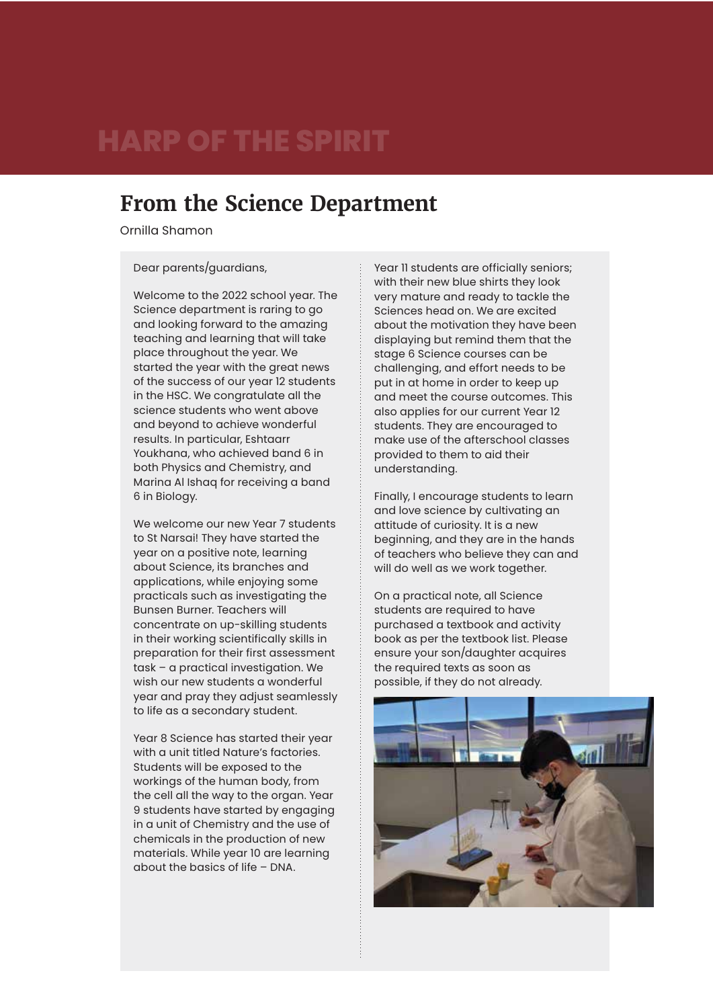### **From the Science Department**

Ornilla Shamon

Dear parents/guardians,

Welcome to the 2022 school year. The Science department is raring to go and looking forward to the amazing teaching and learning that will take place throughout the year. We started the year with the great news of the success of our year 12 students in the HSC. We congratulate all the science students who went above and beyond to achieve wonderful results. In particular, Eshtaarr Youkhana, who achieved band 6 in both Physics and Chemistry, and Marina Al Ishaq for receiving a band 6 in Biology.

We welcome our new Year 7 students to St Narsai! They have started the year on a positive note, learning about Science, its branches and applications, while enjoying some practicals such as investigating the Bunsen Burner. Teachers will concentrate on up-skilling students in their working scientifically skills in preparation for their first assessment task – a practical investigation. We wish our new students a wonderful year and pray they adjust seamlessly to life as a secondary student.

Year 8 Science has started their year with a unit titled Nature's factories. Students will be exposed to the workings of the human body, from the cell all the way to the organ. Year 9 students have started by engaging in a unit of Chemistry and the use of chemicals in the production of new materials. While year 10 are learning about the basics of life – DNA.

Year 11 students are officially seniors; with their new blue shirts they look very mature and ready to tackle the Sciences head on. We are excited about the motivation they have been displaying but remind them that the stage 6 Science courses can be challenging, and effort needs to be put in at home in order to keep up and meet the course outcomes. This also applies for our current Year 12 students. They are encouraged to make use of the afterschool classes provided to them to aid their understanding.

Finally, I encourage students to learn and love science by cultivating an attitude of curiosity. It is a new beginning, and they are in the hands of teachers who believe they can and will do well as we work together.

On a practical note, all Science students are required to have purchased a textbook and activity book as per the textbook list. Please ensure your son/daughter acquires the required texts as soon as possible, if they do not already.

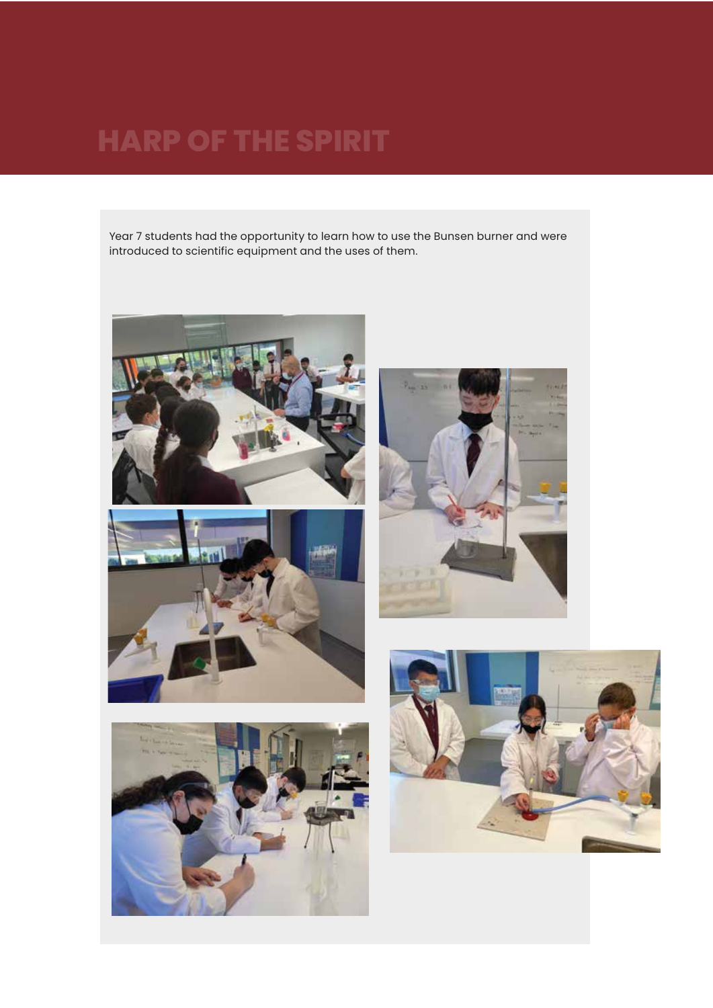Year 7 students had the opportunity to learn how to use the Bunsen burner and were introduced to scientific equipment and the uses of them.









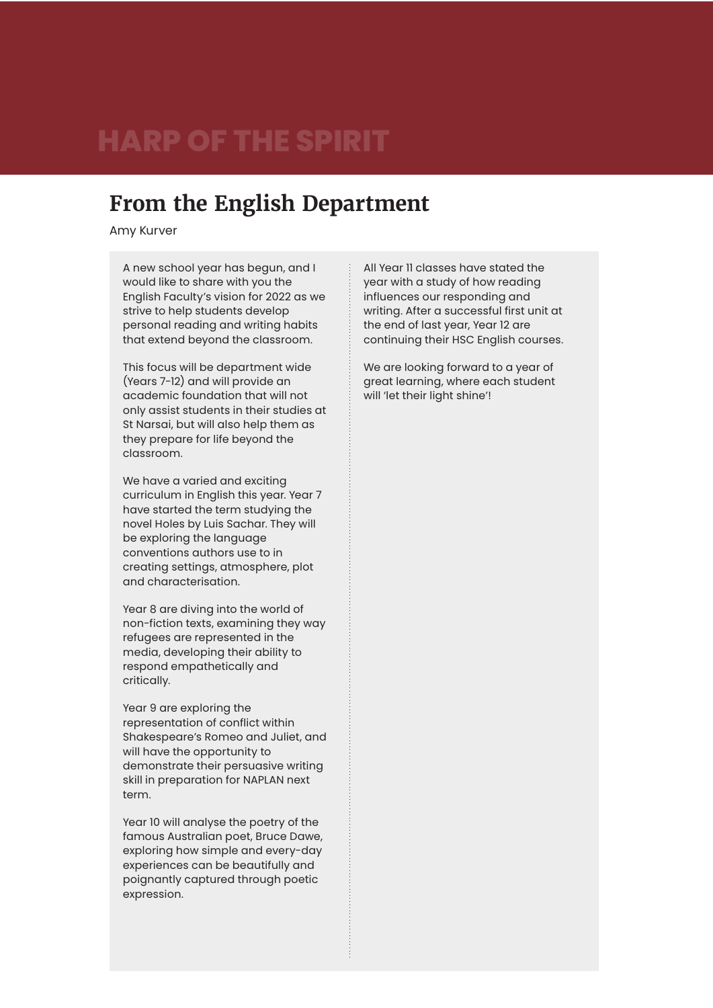### **From the English Department**

Amy Kurver

A new school year has begun, and I would like to share with you the English Faculty's vision for 2022 as we strive to help students develop personal reading and writing habits that extend beyond the classroom.

This focus will be department wide (Years 7-12) and will provide an academic foundation that will not only assist students in their studies at St Narsai, but will also help them as they prepare for life beyond the classroom.

We have a varied and exciting curriculum in English this year. Year 7 have started the term studying the novel Holes by Luis Sachar. They will be exploring the language conventions authors use to in creating settings, atmosphere, plot and characterisation.

Year 8 are diving into the world of non-fiction texts, examining they way refugees are represented in the media, developing their ability to respond empathetically and critically.

Year 9 are exploring the representation of conflict within Shakespeare's Romeo and Juliet, and will have the opportunity to demonstrate their persuasive writing skill in preparation for NAPLAN next term.

Year 10 will analyse the poetry of the famous Australian poet, Bruce Dawe, exploring how simple and every-day experiences can be beautifully and poignantly captured through poetic expression.

All Year 11 classes have stated the year with a study of how reading influences our responding and writing. After a successful first unit at the end of last year, Year 12 are continuing their HSC English courses.

We are looking forward to a year of great learning, where each student will 'let their light shine'!